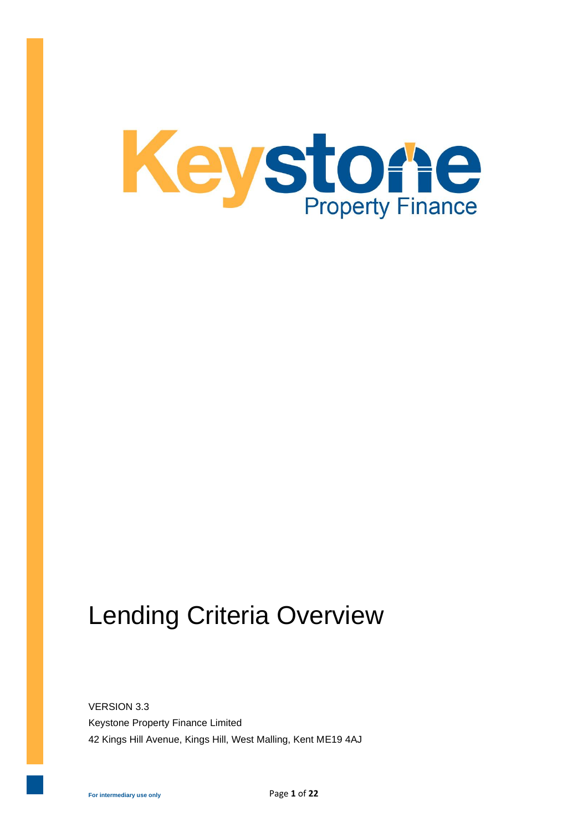

# Lending Criteria Overview

VERSION 3.3 Keystone Property Finance Limited 42 Kings Hill Avenue, Kings Hill, West Malling, Kent ME19 4AJ

**For intermediary use only**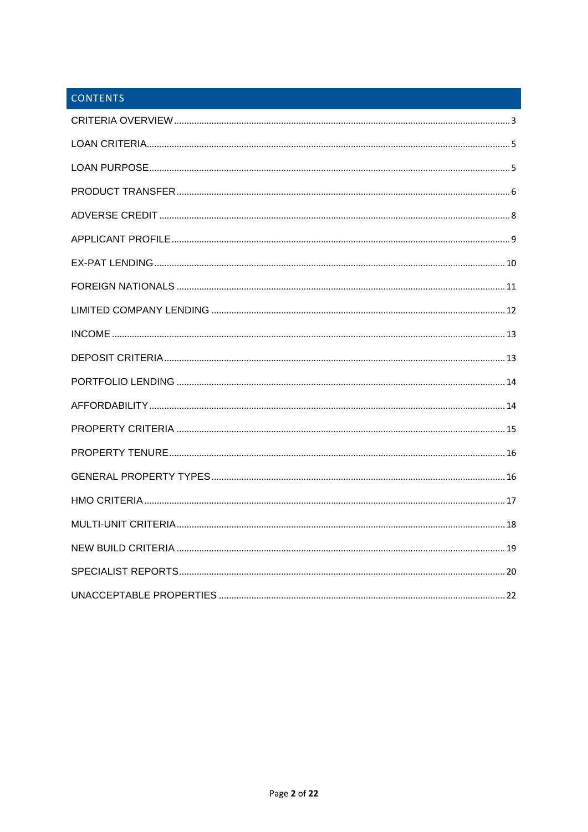#### **CONTENTS**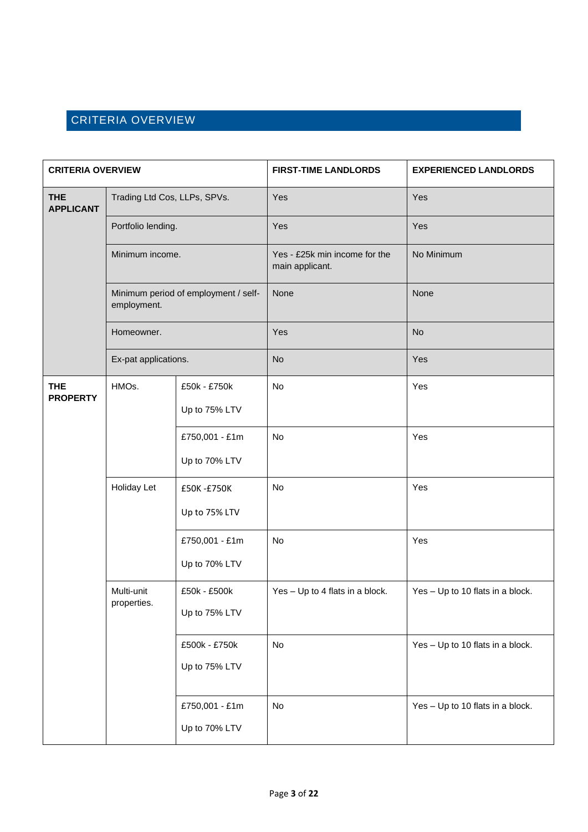## <span id="page-2-0"></span>CRITERIA OVERVIEW

| <b>CRITERIA OVERVIEW</b>       |                                                                                              | <b>FIRST-TIME LANDLORDS</b>     | <b>EXPERIENCED LANDLORDS</b>                     |                                  |
|--------------------------------|----------------------------------------------------------------------------------------------|---------------------------------|--------------------------------------------------|----------------------------------|
| <b>THE</b><br><b>APPLICANT</b> | Trading Ltd Cos, LLPs, SPVs.                                                                 |                                 | Yes                                              | Yes                              |
|                                | Portfolio lending.<br>Minimum income.<br>Minimum period of employment / self-<br>employment. |                                 | Yes                                              | Yes                              |
|                                |                                                                                              |                                 | Yes - £25k min income for the<br>main applicant. | No Minimum                       |
|                                |                                                                                              |                                 | None                                             | None                             |
|                                | Homeowner.                                                                                   |                                 | Yes                                              | <b>No</b>                        |
|                                | Ex-pat applications.                                                                         |                                 | <b>No</b>                                        | Yes                              |
| <b>THE</b><br><b>PROPERTY</b>  | HMOs.                                                                                        | £50k - £750k<br>Up to 75% LTV   | No                                               | Yes                              |
|                                |                                                                                              | £750,001 - £1m<br>Up to 70% LTV | No                                               | Yes                              |
|                                | Holiday Let                                                                                  | £50K-£750K<br>Up to 75% LTV     | No                                               | Yes                              |
|                                |                                                                                              | £750,001 - £1m<br>Up to 70% LTV | No                                               | Yes                              |
|                                | Multi-unit<br>properties.                                                                    | £50k - £500k<br>Up to 75% LTV   | Yes - Up to 4 flats in a block.                  | Yes - Up to 10 flats in a block. |
|                                |                                                                                              | £500k - £750k<br>Up to 75% LTV  | No                                               | Yes - Up to 10 flats in a block. |
|                                |                                                                                              | £750,001 - £1m<br>Up to 70% LTV | No                                               | Yes - Up to 10 flats in a block. |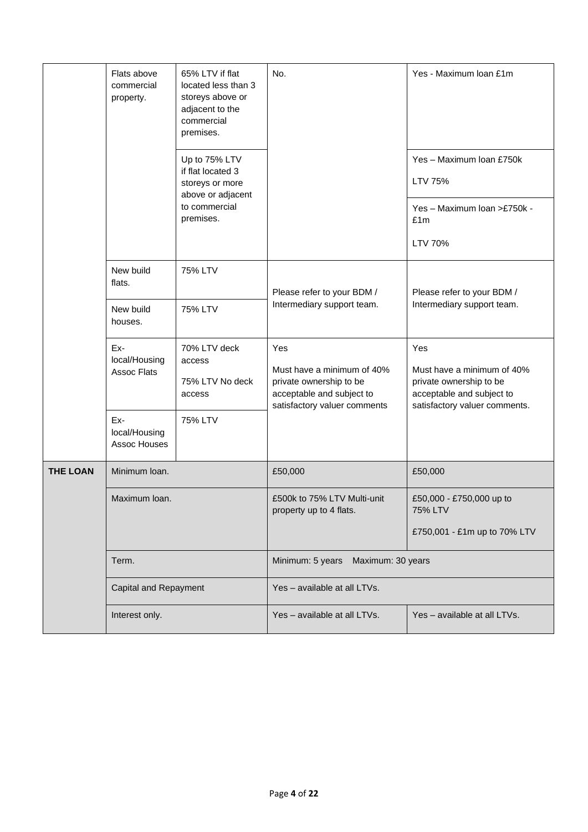|                 | Flats above<br>commercial<br>property.      | 65% LTV if flat<br>located less than 3<br>storeys above or<br>adjacent to the<br>commercial<br>premises.<br>Up to 75% LTV<br>if flat located 3<br>storeys or more<br>above or adjacent<br>to commercial<br>premises. | No.                                                                                                                       | Yes - Maximum Ioan £1m<br>Yes - Maximum Ioan £750k<br>LTV 75%<br>Yes - Maximum Ioan >£750k -<br>£1m<br>LTV 70%             |
|-----------------|---------------------------------------------|----------------------------------------------------------------------------------------------------------------------------------------------------------------------------------------------------------------------|---------------------------------------------------------------------------------------------------------------------------|----------------------------------------------------------------------------------------------------------------------------|
|                 | New build<br>flats.<br>New build<br>houses. | <b>75% LTV</b><br>75% LTV                                                                                                                                                                                            | Please refer to your BDM /<br>Intermediary support team.                                                                  | Please refer to your BDM /<br>Intermediary support team.                                                                   |
|                 | Ex-<br>local/Housing<br><b>Assoc Flats</b>  | 70% LTV deck<br>access<br>75% LTV No deck<br>access                                                                                                                                                                  | Yes<br>Must have a minimum of 40%<br>private ownership to be<br>acceptable and subject to<br>satisfactory valuer comments | Yes<br>Must have a minimum of 40%<br>private ownership to be<br>acceptable and subject to<br>satisfactory valuer comments. |
|                 | Ex-<br>local/Housing<br>Assoc Houses        | 75% LTV                                                                                                                                                                                                              |                                                                                                                           |                                                                                                                            |
| <b>THE LOAN</b> | Minimum Ioan.                               |                                                                                                                                                                                                                      | £50,000                                                                                                                   | £50,000                                                                                                                    |
|                 | Maximum Ioan.                               |                                                                                                                                                                                                                      | £500k to 75% LTV Multi-unit<br>property up to 4 flats.                                                                    | £50,000 - £750,000 up to<br><b>75% LTV</b><br>£750,001 - £1m up to 70% LTV                                                 |
|                 | Term.                                       |                                                                                                                                                                                                                      | Minimum: 5 years<br>Maximum: 30 years                                                                                     |                                                                                                                            |
|                 | Capital and Repayment                       |                                                                                                                                                                                                                      | Yes - available at all LTVs.                                                                                              |                                                                                                                            |
|                 | Interest only.                              |                                                                                                                                                                                                                      | Yes - available at all LTVs.                                                                                              | Yes - available at all LTVs.                                                                                               |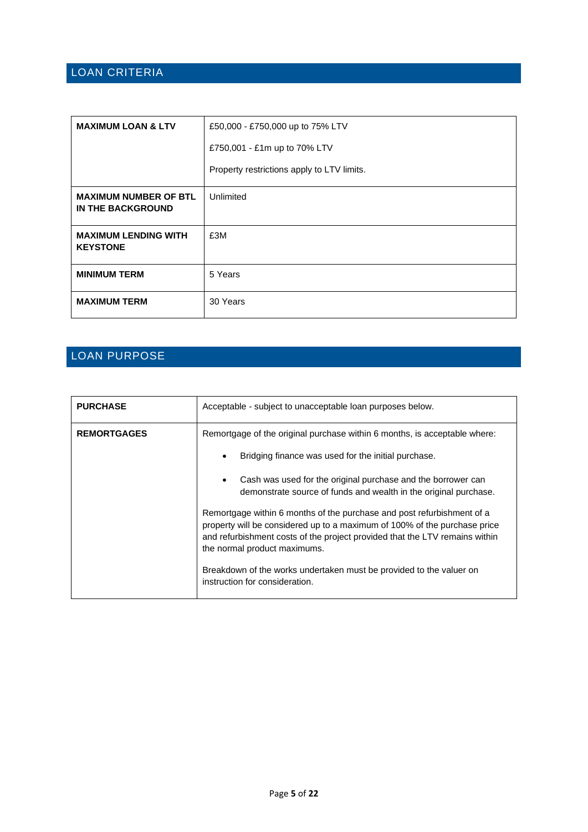## <span id="page-4-0"></span>LOAN CRITERIA

| <b>MAXIMUM LOAN &amp; LTV</b>                     | £50,000 - £750,000 up to 75% LTV           |  |
|---------------------------------------------------|--------------------------------------------|--|
|                                                   | £750,001 - £1m up to 70% LTV               |  |
|                                                   | Property restrictions apply to LTV limits. |  |
| <b>MAXIMUM NUMBER OF BTL</b><br>IN THE BACKGROUND | Unlimited                                  |  |
| <b>MAXIMUM LENDING WITH</b><br><b>KEYSTONE</b>    | £3M                                        |  |
| <b>MINIMUM TERM</b>                               | 5 Years                                    |  |
| <b>MAXIMUM TERM</b>                               | 30 Years                                   |  |

## <span id="page-4-1"></span>LOAN PURPOSE

| <b>PURCHASE</b>              | Acceptable - subject to unacceptable loan purposes below.                                                                                                                                                                          |  |
|------------------------------|------------------------------------------------------------------------------------------------------------------------------------------------------------------------------------------------------------------------------------|--|
| <b>REMORTGAGES</b>           | Remortgage of the original purchase within 6 months, is acceptable where:                                                                                                                                                          |  |
|                              | Bridging finance was used for the initial purchase.<br>٠                                                                                                                                                                           |  |
|                              | Cash was used for the original purchase and the borrower can<br>$\bullet$<br>demonstrate source of funds and wealth in the original purchase.                                                                                      |  |
| the normal product maximums. | Remortgage within 6 months of the purchase and post refurbishment of a<br>property will be considered up to a maximum of 100% of the purchase price<br>and refurbishment costs of the project provided that the LTV remains within |  |
|                              | Breakdown of the works undertaken must be provided to the valuer on<br>instruction for consideration.                                                                                                                              |  |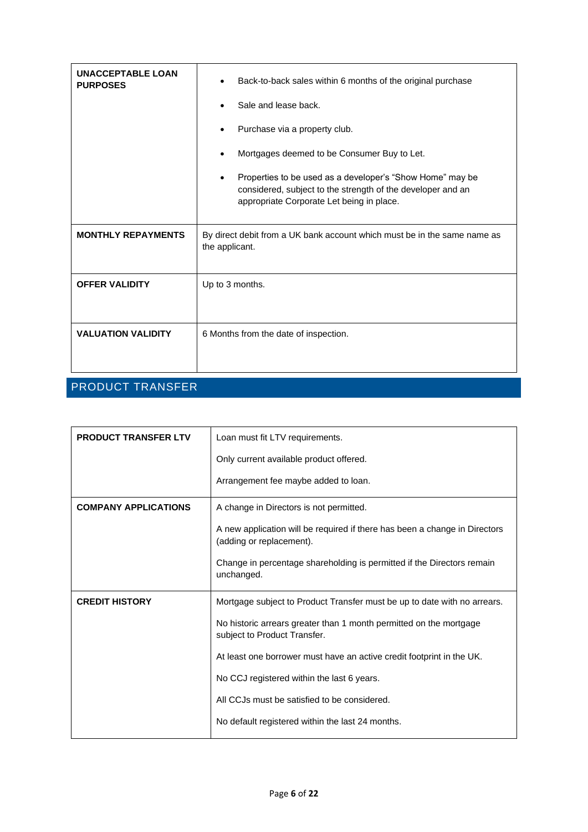| <b>UNACCEPTABLE LOAN</b><br><b>PURPOSES</b> | Back-to-back sales within 6 months of the original purchase<br>٠                                                                                                                   |  |  |
|---------------------------------------------|------------------------------------------------------------------------------------------------------------------------------------------------------------------------------------|--|--|
|                                             | Sale and lease back.                                                                                                                                                               |  |  |
|                                             | Purchase via a property club.                                                                                                                                                      |  |  |
|                                             | Mortgages deemed to be Consumer Buy to Let.                                                                                                                                        |  |  |
|                                             | Properties to be used as a developer's "Show Home" may be<br>$\bullet$<br>considered, subject to the strength of the developer and an<br>appropriate Corporate Let being in place. |  |  |
| <b>MONTHLY REPAYMENTS</b>                   | By direct debit from a UK bank account which must be in the same name as<br>the applicant.                                                                                         |  |  |
| <b>OFFER VALIDITY</b>                       | Up to 3 months.                                                                                                                                                                    |  |  |
|                                             |                                                                                                                                                                                    |  |  |
| <b>VALUATION VALIDITY</b>                   | 6 Months from the date of inspection.                                                                                                                                              |  |  |
|                                             |                                                                                                                                                                                    |  |  |

## <span id="page-5-0"></span>PRODUCT TRANSFER

| <b>PRODUCT TRANSFER LTV</b> | Loan must fit LTV requirements.                                                                        |  |
|-----------------------------|--------------------------------------------------------------------------------------------------------|--|
|                             | Only current available product offered.                                                                |  |
|                             | Arrangement fee maybe added to loan.                                                                   |  |
| <b>COMPANY APPLICATIONS</b> | A change in Directors is not permitted.                                                                |  |
|                             | A new application will be required if there has been a change in Directors<br>(adding or replacement). |  |
|                             | Change in percentage shareholding is permitted if the Directors remain<br>unchanged.                   |  |
| <b>CREDIT HISTORY</b>       | Mortgage subject to Product Transfer must be up to date with no arrears.                               |  |
|                             | No historic arrears greater than 1 month permitted on the mortgage<br>subject to Product Transfer.     |  |
|                             | At least one borrower must have an active credit footprint in the UK.                                  |  |
|                             | No CCJ registered within the last 6 years.                                                             |  |
|                             | All CCJs must be satisfied to be considered.                                                           |  |
|                             | No default registered within the last 24 months.                                                       |  |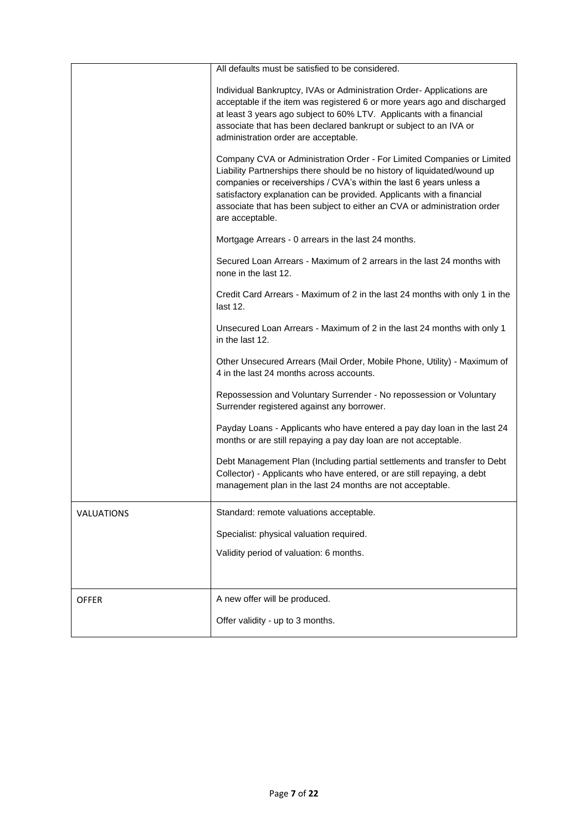|                   | All defaults must be satisfied to be considered.                                                                                                                                                                                                                                                                                                                                                  |
|-------------------|---------------------------------------------------------------------------------------------------------------------------------------------------------------------------------------------------------------------------------------------------------------------------------------------------------------------------------------------------------------------------------------------------|
|                   | Individual Bankruptcy, IVAs or Administration Order-Applications are<br>acceptable if the item was registered 6 or more years ago and discharged<br>at least 3 years ago subject to 60% LTV. Applicants with a financial<br>associate that has been declared bankrupt or subject to an IVA or<br>administration order are acceptable.                                                             |
|                   | Company CVA or Administration Order - For Limited Companies or Limited<br>Liability Partnerships there should be no history of liquidated/wound up<br>companies or receiverships / CVA's within the last 6 years unless a<br>satisfactory explanation can be provided. Applicants with a financial<br>associate that has been subject to either an CVA or administration order<br>are acceptable. |
|                   | Mortgage Arrears - 0 arrears in the last 24 months.                                                                                                                                                                                                                                                                                                                                               |
|                   | Secured Loan Arrears - Maximum of 2 arrears in the last 24 months with<br>none in the last 12.                                                                                                                                                                                                                                                                                                    |
|                   | Credit Card Arrears - Maximum of 2 in the last 24 months with only 1 in the<br>last 12.                                                                                                                                                                                                                                                                                                           |
|                   | Unsecured Loan Arrears - Maximum of 2 in the last 24 months with only 1<br>in the last 12.                                                                                                                                                                                                                                                                                                        |
|                   | Other Unsecured Arrears (Mail Order, Mobile Phone, Utility) - Maximum of<br>4 in the last 24 months across accounts.                                                                                                                                                                                                                                                                              |
|                   | Repossession and Voluntary Surrender - No repossession or Voluntary<br>Surrender registered against any borrower.                                                                                                                                                                                                                                                                                 |
|                   | Payday Loans - Applicants who have entered a pay day loan in the last 24<br>months or are still repaying a pay day loan are not acceptable.                                                                                                                                                                                                                                                       |
|                   | Debt Management Plan (Including partial settlements and transfer to Debt<br>Collector) - Applicants who have entered, or are still repaying, a debt<br>management plan in the last 24 months are not acceptable.                                                                                                                                                                                  |
| <b>VALUATIONS</b> | Standard: remote valuations acceptable.                                                                                                                                                                                                                                                                                                                                                           |
|                   | Specialist: physical valuation required.                                                                                                                                                                                                                                                                                                                                                          |
|                   | Validity period of valuation: 6 months.                                                                                                                                                                                                                                                                                                                                                           |
|                   |                                                                                                                                                                                                                                                                                                                                                                                                   |
| <b>OFFER</b>      | A new offer will be produced.                                                                                                                                                                                                                                                                                                                                                                     |
|                   | Offer validity - up to 3 months.                                                                                                                                                                                                                                                                                                                                                                  |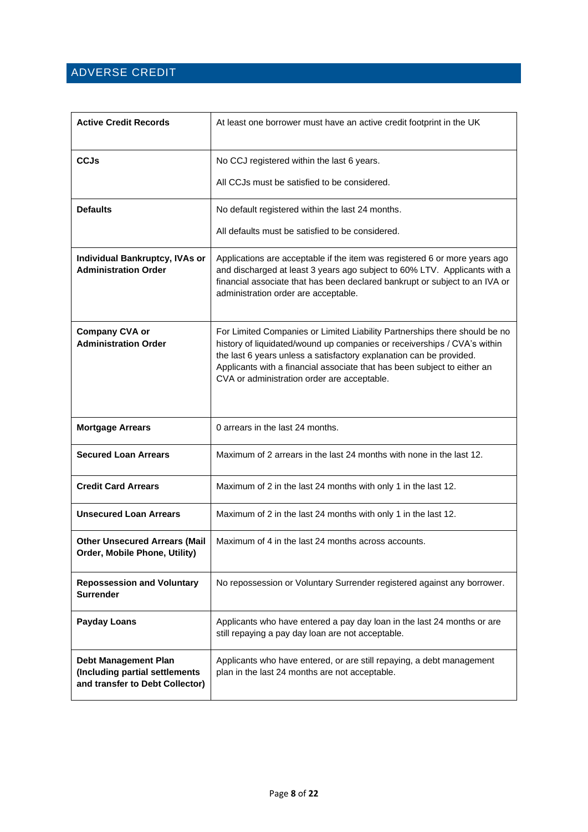## <span id="page-7-0"></span>ADVERSE CREDIT

| <b>Active Credit Records</b>                                                                     | At least one borrower must have an active credit footprint in the UK                                                                                                                                                                                                                                                                                     |
|--------------------------------------------------------------------------------------------------|----------------------------------------------------------------------------------------------------------------------------------------------------------------------------------------------------------------------------------------------------------------------------------------------------------------------------------------------------------|
| CCJs                                                                                             | No CCJ registered within the last 6 years.                                                                                                                                                                                                                                                                                                               |
|                                                                                                  | All CCJs must be satisfied to be considered.                                                                                                                                                                                                                                                                                                             |
| <b>Defaults</b>                                                                                  | No default registered within the last 24 months.                                                                                                                                                                                                                                                                                                         |
|                                                                                                  | All defaults must be satisfied to be considered.                                                                                                                                                                                                                                                                                                         |
| <b>Individual Bankruptcy, IVAs or</b><br><b>Administration Order</b>                             | Applications are acceptable if the item was registered 6 or more years ago<br>and discharged at least 3 years ago subject to 60% LTV. Applicants with a<br>financial associate that has been declared bankrupt or subject to an IVA or<br>administration order are acceptable.                                                                           |
| <b>Company CVA or</b><br><b>Administration Order</b>                                             | For Limited Companies or Limited Liability Partnerships there should be no<br>history of liquidated/wound up companies or receiverships / CVA's within<br>the last 6 years unless a satisfactory explanation can be provided.<br>Applicants with a financial associate that has been subject to either an<br>CVA or administration order are acceptable. |
| <b>Mortgage Arrears</b>                                                                          | 0 arrears in the last 24 months.                                                                                                                                                                                                                                                                                                                         |
| <b>Secured Loan Arrears</b>                                                                      | Maximum of 2 arrears in the last 24 months with none in the last 12.                                                                                                                                                                                                                                                                                     |
| <b>Credit Card Arrears</b>                                                                       | Maximum of 2 in the last 24 months with only 1 in the last 12.                                                                                                                                                                                                                                                                                           |
| <b>Unsecured Loan Arrears</b>                                                                    | Maximum of 2 in the last 24 months with only 1 in the last 12.                                                                                                                                                                                                                                                                                           |
| <b>Other Unsecured Arrears (Mail</b><br>Order, Mobile Phone, Utility)                            | Maximum of 4 in the last 24 months across accounts.                                                                                                                                                                                                                                                                                                      |
| <b>Repossession and Voluntary</b><br><b>Surrender</b>                                            | No repossession or Voluntary Surrender registered against any borrower.                                                                                                                                                                                                                                                                                  |
| <b>Payday Loans</b>                                                                              | Applicants who have entered a pay day loan in the last 24 months or are<br>still repaying a pay day loan are not acceptable.                                                                                                                                                                                                                             |
| <b>Debt Management Plan</b><br>(Including partial settlements<br>and transfer to Debt Collector) | Applicants who have entered, or are still repaying, a debt management<br>plan in the last 24 months are not acceptable.                                                                                                                                                                                                                                  |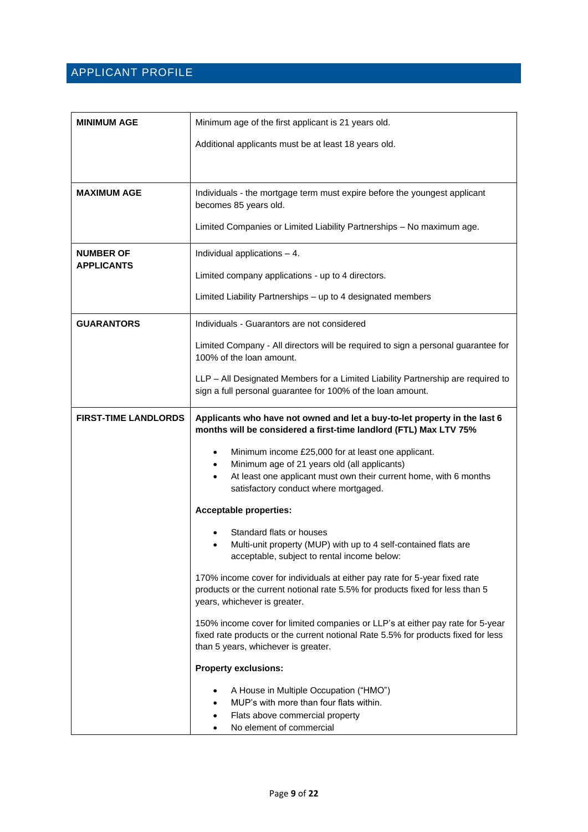## <span id="page-8-0"></span>APPLICANT PROFILE

| <b>MINIMUM AGE</b>                    | Minimum age of the first applicant is 21 years old.                                                                                                                                                                                                     |  |
|---------------------------------------|---------------------------------------------------------------------------------------------------------------------------------------------------------------------------------------------------------------------------------------------------------|--|
|                                       | Additional applicants must be at least 18 years old.                                                                                                                                                                                                    |  |
|                                       |                                                                                                                                                                                                                                                         |  |
| <b>MAXIMUM AGE</b>                    | Individuals - the mortgage term must expire before the youngest applicant<br>becomes 85 years old.                                                                                                                                                      |  |
|                                       | Limited Companies or Limited Liability Partnerships - No maximum age.                                                                                                                                                                                   |  |
| <b>NUMBER OF</b><br><b>APPLICANTS</b> | Individual applications $-4$ .                                                                                                                                                                                                                          |  |
|                                       | Limited company applications - up to 4 directors.                                                                                                                                                                                                       |  |
|                                       | Limited Liability Partnerships - up to 4 designated members                                                                                                                                                                                             |  |
| <b>GUARANTORS</b>                     | Individuals - Guarantors are not considered                                                                                                                                                                                                             |  |
|                                       | Limited Company - All directors will be required to sign a personal guarantee for<br>100% of the loan amount.                                                                                                                                           |  |
|                                       | LLP - All Designated Members for a Limited Liability Partnership are required to<br>sign a full personal guarantee for 100% of the loan amount.                                                                                                         |  |
| <b>FIRST-TIME LANDLORDS</b>           | Applicants who have not owned and let a buy-to-let property in the last 6<br>months will be considered a first-time landlord (FTL) Max LTV 75%                                                                                                          |  |
|                                       | Minimum income £25,000 for at least one applicant.<br>$\bullet$<br>Minimum age of 21 years old (all applicants)<br>$\bullet$<br>At least one applicant must own their current home, with 6 months<br>$\bullet$<br>satisfactory conduct where mortgaged. |  |
|                                       | <b>Acceptable properties:</b>                                                                                                                                                                                                                           |  |
|                                       | Standard flats or houses<br>Multi-unit property (MUP) with up to 4 self-contained flats are<br>acceptable, subject to rental income below:                                                                                                              |  |
|                                       | 170% income cover for individuals at either pay rate for 5-year fixed rate<br>products or the current notional rate 5.5% for products fixed for less than 5<br>years, whichever is greater.                                                             |  |
|                                       | 150% income cover for limited companies or LLP's at either pay rate for 5-year<br>fixed rate products or the current notional Rate 5.5% for products fixed for less<br>than 5 years, whichever is greater.                                              |  |
|                                       | <b>Property exclusions:</b>                                                                                                                                                                                                                             |  |
|                                       | A House in Multiple Occupation ("HMO")<br>MUP's with more than four flats within.<br>Flats above commercial property<br>No element of commercial                                                                                                        |  |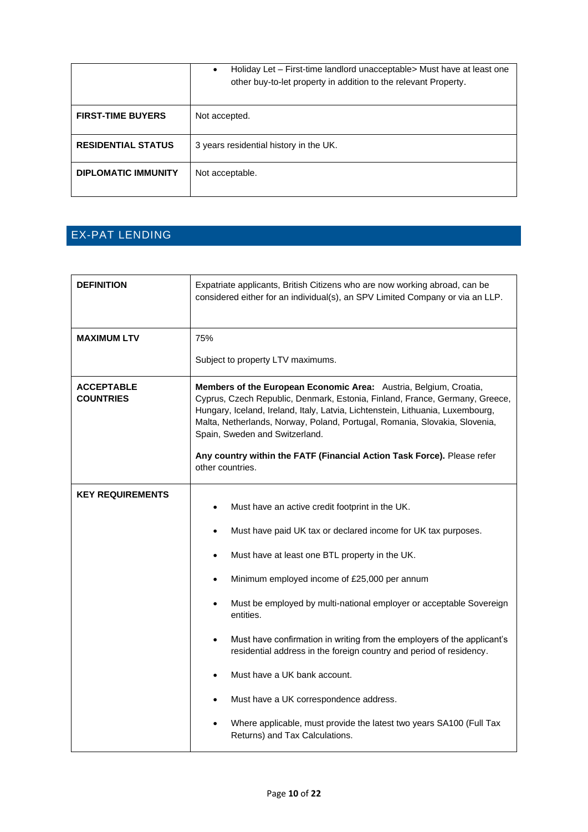|                            | Holiday Let – First-time landlord unacceptable > Must have at least one<br>$\bullet$<br>other buy-to-let property in addition to the relevant Property. |
|----------------------------|---------------------------------------------------------------------------------------------------------------------------------------------------------|
| <b>FIRST-TIME BUYERS</b>   | Not accepted.                                                                                                                                           |
| <b>RESIDENTIAL STATUS</b>  | 3 years residential history in the UK.                                                                                                                  |
| <b>DIPLOMATIC IMMUNITY</b> | Not acceptable.                                                                                                                                         |

## <span id="page-9-0"></span>EX-PAT LENDING

| <b>DEFINITION</b>                     | Expatriate applicants, British Citizens who are now working abroad, can be<br>considered either for an individual(s), an SPV Limited Company or via an LLP.                                                                                                                                                                                                                                                                                                                                                                                                                                                                                                |  |
|---------------------------------------|------------------------------------------------------------------------------------------------------------------------------------------------------------------------------------------------------------------------------------------------------------------------------------------------------------------------------------------------------------------------------------------------------------------------------------------------------------------------------------------------------------------------------------------------------------------------------------------------------------------------------------------------------------|--|
| <b>MAXIMUM LTV</b>                    | 75%                                                                                                                                                                                                                                                                                                                                                                                                                                                                                                                                                                                                                                                        |  |
|                                       | Subject to property LTV maximums.                                                                                                                                                                                                                                                                                                                                                                                                                                                                                                                                                                                                                          |  |
| <b>ACCEPTABLE</b><br><b>COUNTRIES</b> | Members of the European Economic Area: Austria, Belgium, Croatia,<br>Cyprus, Czech Republic, Denmark, Estonia, Finland, France, Germany, Greece,<br>Hungary, Iceland, Ireland, Italy, Latvia, Lichtenstein, Lithuania, Luxembourg,<br>Malta, Netherlands, Norway, Poland, Portugal, Romania, Slovakia, Slovenia,<br>Spain, Sweden and Switzerland.<br>Any country within the FATF (Financial Action Task Force). Please refer<br>other countries.                                                                                                                                                                                                          |  |
| <b>KEY REQUIREMENTS</b>               | Must have an active credit footprint in the UK.<br>$\bullet$<br>Must have paid UK tax or declared income for UK tax purposes.<br>٠<br>Must have at least one BTL property in the UK.<br>٠<br>Minimum employed income of £25,000 per annum<br>$\bullet$<br>Must be employed by multi-national employer or acceptable Sovereign<br>entities.<br>Must have confirmation in writing from the employers of the applicant's<br>$\bullet$<br>residential address in the foreign country and period of residency.<br>Must have a UK bank account.<br>Must have a UK correspondence address.<br>Where applicable, must provide the latest two years SA100 (Full Tax |  |
|                                       | Returns) and Tax Calculations.                                                                                                                                                                                                                                                                                                                                                                                                                                                                                                                                                                                                                             |  |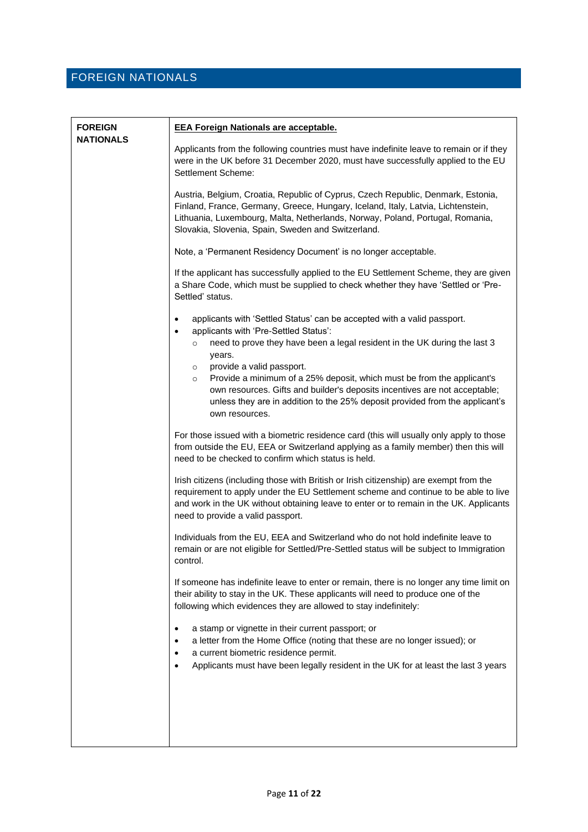## <span id="page-10-0"></span>FOREIGN NATIONALS

| <b>FOREIGN</b><br><b>NATIONALS</b> | <b>EEA Foreign Nationals are acceptable.</b>                                                                                                                                                                                                                                                                 |  |  |
|------------------------------------|--------------------------------------------------------------------------------------------------------------------------------------------------------------------------------------------------------------------------------------------------------------------------------------------------------------|--|--|
|                                    | Applicants from the following countries must have indefinite leave to remain or if they<br>were in the UK before 31 December 2020, must have successfully applied to the EU<br>Settlement Scheme:                                                                                                            |  |  |
|                                    | Austria, Belgium, Croatia, Republic of Cyprus, Czech Republic, Denmark, Estonia,<br>Finland, France, Germany, Greece, Hungary, Iceland, Italy, Latvia, Lichtenstein,<br>Lithuania, Luxembourg, Malta, Netherlands, Norway, Poland, Portugal, Romania,<br>Slovakia, Slovenia, Spain, Sweden and Switzerland.  |  |  |
|                                    | Note, a 'Permanent Residency Document' is no longer acceptable.                                                                                                                                                                                                                                              |  |  |
|                                    | If the applicant has successfully applied to the EU Settlement Scheme, they are given<br>a Share Code, which must be supplied to check whether they have 'Settled or 'Pre-<br>Settled' status.                                                                                                               |  |  |
|                                    | applicants with 'Settled Status' can be accepted with a valid passport.<br>$\bullet$<br>applicants with 'Pre-Settled Status':<br>$\bullet$                                                                                                                                                                   |  |  |
|                                    | need to prove they have been a legal resident in the UK during the last 3<br>$\circ$<br>years.                                                                                                                                                                                                               |  |  |
|                                    | provide a valid passport.<br>$\circ$<br>Provide a minimum of a 25% deposit, which must be from the applicant's<br>$\circ$<br>own resources. Gifts and builder's deposits incentives are not acceptable;<br>unless they are in addition to the 25% deposit provided from the applicant's<br>own resources.    |  |  |
|                                    | For those issued with a biometric residence card (this will usually only apply to those<br>from outside the EU, EEA or Switzerland applying as a family member) then this will<br>need to be checked to confirm which status is held.                                                                        |  |  |
|                                    | Irish citizens (including those with British or Irish citizenship) are exempt from the<br>requirement to apply under the EU Settlement scheme and continue to be able to live<br>and work in the UK without obtaining leave to enter or to remain in the UK. Applicants<br>need to provide a valid passport. |  |  |
|                                    | Individuals from the EU, EEA and Switzerland who do not hold indefinite leave to<br>remain or are not eligible for Settled/Pre-Settled status will be subject to Immigration<br>control.                                                                                                                     |  |  |
|                                    | If someone has indefinite leave to enter or remain, there is no longer any time limit on<br>their ability to stay in the UK. These applicants will need to produce one of the<br>following which evidences they are allowed to stay indefinitely:                                                            |  |  |
|                                    | a stamp or vignette in their current passport; or<br>a letter from the Home Office (noting that these are no longer issued); or<br>a current biometric residence permit.<br>Applicants must have been legally resident in the UK for at least the last 3 years                                               |  |  |
|                                    |                                                                                                                                                                                                                                                                                                              |  |  |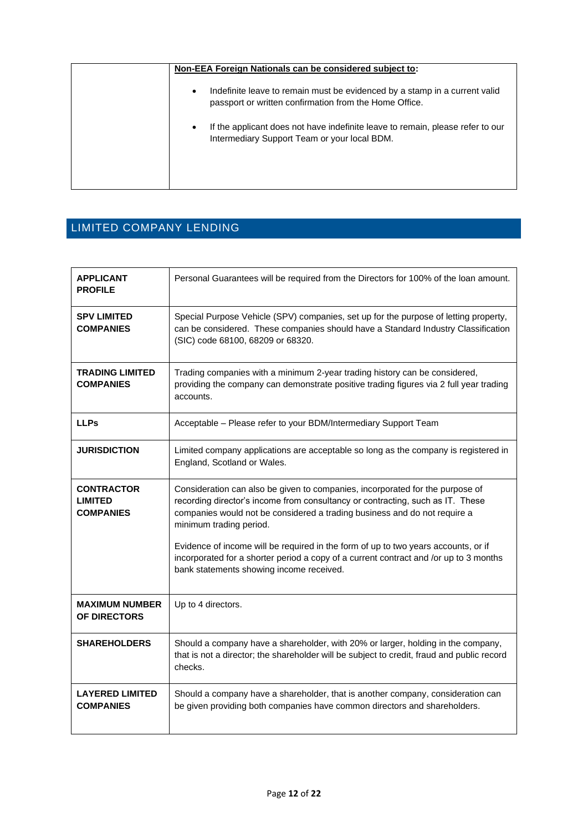| Non-EEA Foreign Nationals can be considered subject to:                                                                                           |
|---------------------------------------------------------------------------------------------------------------------------------------------------|
| Indefinite leave to remain must be evidenced by a stamp in a current valid<br>$\bullet$<br>passport or written confirmation from the Home Office. |
| If the applicant does not have indefinite leave to remain, please refer to our<br>$\bullet$<br>Intermediary Support Team or your local BDM.       |
|                                                                                                                                                   |

## <span id="page-11-0"></span>LIMITED COMPANY LENDING

| <b>APPLICANT</b><br><b>PROFILE</b>                      | Personal Guarantees will be required from the Directors for 100% of the loan amount.                                                                                                                                                                                    |
|---------------------------------------------------------|-------------------------------------------------------------------------------------------------------------------------------------------------------------------------------------------------------------------------------------------------------------------------|
| <b>SPV LIMITED</b><br><b>COMPANIES</b>                  | Special Purpose Vehicle (SPV) companies, set up for the purpose of letting property,<br>can be considered. These companies should have a Standard Industry Classification<br>(SIC) code 68100, 68209 or 68320.                                                          |
| <b>TRADING LIMITED</b><br><b>COMPANIES</b>              | Trading companies with a minimum 2-year trading history can be considered,<br>providing the company can demonstrate positive trading figures via 2 full year trading<br>accounts.                                                                                       |
| <b>LLPs</b>                                             | Acceptable - Please refer to your BDM/Intermediary Support Team                                                                                                                                                                                                         |
| <b>JURISDICTION</b>                                     | Limited company applications are acceptable so long as the company is registered in<br>England, Scotland or Wales.                                                                                                                                                      |
| <b>CONTRACTOR</b><br><b>LIMITED</b><br><b>COMPANIES</b> | Consideration can also be given to companies, incorporated for the purpose of<br>recording director's income from consultancy or contracting, such as IT. These<br>companies would not be considered a trading business and do not require a<br>minimum trading period. |
|                                                         | Evidence of income will be required in the form of up to two years accounts, or if<br>incorporated for a shorter period a copy of a current contract and /or up to 3 months<br>bank statements showing income received.                                                 |
| <b>MAXIMUM NUMBER</b><br>OF DIRECTORS                   | Up to 4 directors.                                                                                                                                                                                                                                                      |
| <b>SHAREHOLDERS</b>                                     | Should a company have a shareholder, with 20% or larger, holding in the company,<br>that is not a director; the shareholder will be subject to credit, fraud and public record<br>checks.                                                                               |
| <b>LAYERED LIMITED</b><br><b>COMPANIES</b>              | Should a company have a shareholder, that is another company, consideration can<br>be given providing both companies have common directors and shareholders.                                                                                                            |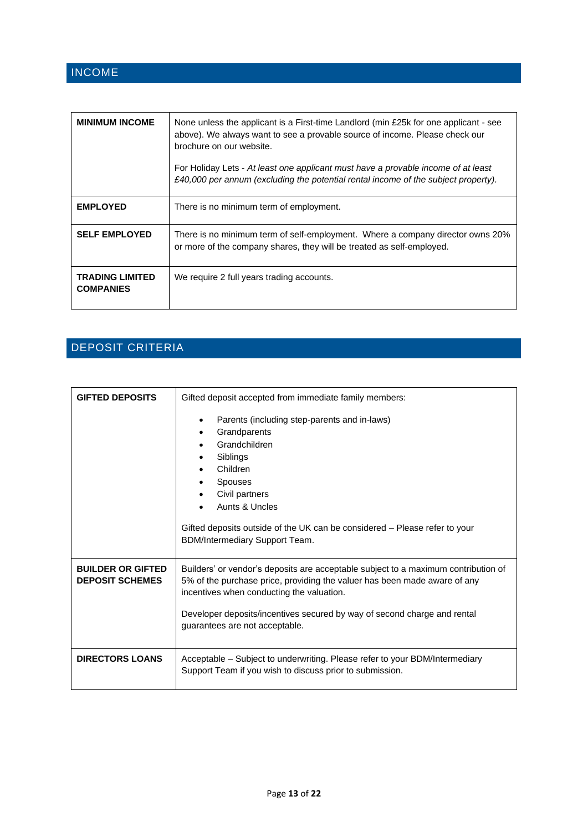## <span id="page-12-0"></span>INCOME

| <b>MINIMUM INCOME</b>                      | None unless the applicant is a First-time Landlord (min £25k for one applicant - see<br>above). We always want to see a provable source of income. Please check our<br>brochure on our website.<br>For Holiday Lets - At least one applicant must have a provable income of at least<br>£40,000 per annum (excluding the potential rental income of the subject property). |
|--------------------------------------------|----------------------------------------------------------------------------------------------------------------------------------------------------------------------------------------------------------------------------------------------------------------------------------------------------------------------------------------------------------------------------|
| <b>EMPLOYED</b>                            | There is no minimum term of employment.                                                                                                                                                                                                                                                                                                                                    |
| <b>SELF EMPLOYED</b>                       | There is no minimum term of self-employment. Where a company director owns 20%<br>or more of the company shares, they will be treated as self-employed.                                                                                                                                                                                                                    |
| <b>TRADING LIMITED</b><br><b>COMPANIES</b> | We require 2 full years trading accounts.                                                                                                                                                                                                                                                                                                                                  |

# <span id="page-12-1"></span>DEPOSIT CRITERIA

| <b>GIFTED DEPOSITS</b>                             | Gifted deposit accepted from immediate family members:                                                                                                                                                                                                                                                                     |
|----------------------------------------------------|----------------------------------------------------------------------------------------------------------------------------------------------------------------------------------------------------------------------------------------------------------------------------------------------------------------------------|
|                                                    | Parents (including step-parents and in-laws)<br>Grandparents<br>Grandchildren<br>Siblings<br>Children<br><b>Spouses</b><br>Civil partners<br>Aunts & Uncles<br>Gifted deposits outside of the UK can be considered - Please refer to your<br>BDM/Intermediary Support Team.                                                |
| <b>BUILDER OR GIFTED</b><br><b>DEPOSIT SCHEMES</b> | Builders' or vendor's deposits are acceptable subject to a maximum contribution of<br>5% of the purchase price, providing the valuer has been made aware of any<br>incentives when conducting the valuation.<br>Developer deposits/incentives secured by way of second charge and rental<br>guarantees are not acceptable. |
| <b>DIRECTORS LOANS</b>                             | Acceptable - Subject to underwriting. Please refer to your BDM/Intermediary<br>Support Team if you wish to discuss prior to submission.                                                                                                                                                                                    |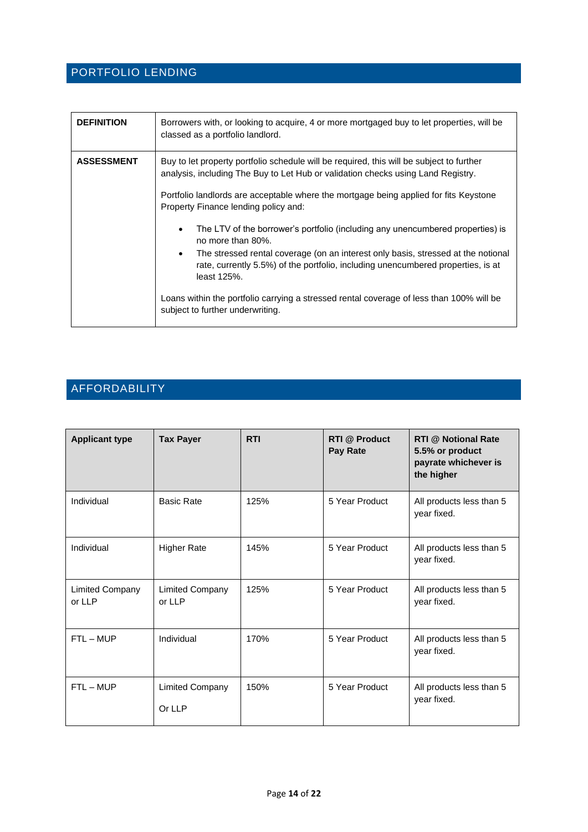#### <span id="page-13-0"></span>PORTFOLIO LENDING

| <b>DEFINITION</b> | Borrowers with, or looking to acquire, 4 or more mortgaged buy to let properties, will be<br>classed as a portfolio landlord.                                                                                                                                                                                                                                                                                                                                                                                                                                                                                                                                                                                                                                          |
|-------------------|------------------------------------------------------------------------------------------------------------------------------------------------------------------------------------------------------------------------------------------------------------------------------------------------------------------------------------------------------------------------------------------------------------------------------------------------------------------------------------------------------------------------------------------------------------------------------------------------------------------------------------------------------------------------------------------------------------------------------------------------------------------------|
| <b>ASSESSMENT</b> | Buy to let property portfolio schedule will be required, this will be subject to further<br>analysis, including The Buy to Let Hub or validation checks using Land Registry.<br>Portfolio landlords are acceptable where the mortgage being applied for fits Keystone<br>Property Finance lending policy and:<br>The LTV of the borrower's portfolio (including any unencumbered properties) is<br>$\bullet$<br>no more than 80%.<br>The stressed rental coverage (on an interest only basis, stressed at the notional<br>$\bullet$<br>rate, currently 5.5%) of the portfolio, including unencumbered properties, is at<br>least 125%.<br>Loans within the portfolio carrying a stressed rental coverage of less than 100% will be<br>subject to further underwriting. |

## <span id="page-13-1"></span>AFFORDABILITY

| <b>Applicant type</b>            | <b>Tax Payer</b>                 | <b>RTI</b> | <b>RTI</b> @ Product<br>Pay Rate | <b>RTI @ Notional Rate</b><br>5.5% or product<br>payrate whichever is<br>the higher |
|----------------------------------|----------------------------------|------------|----------------------------------|-------------------------------------------------------------------------------------|
| Individual                       | <b>Basic Rate</b>                | 125%       | 5 Year Product                   | All products less than 5<br>year fixed.                                             |
| Individual                       | <b>Higher Rate</b>               | 145%       | 5 Year Product                   | All products less than 5<br>year fixed.                                             |
| <b>Limited Company</b><br>or LLP | <b>Limited Company</b><br>or LLP | 125%       | 5 Year Product                   | All products less than 5<br>year fixed.                                             |
| $FTL - MUP$                      | Individual                       | 170%       | 5 Year Product                   | All products less than 5<br>year fixed.                                             |
| $FTL - MUP$                      | <b>Limited Company</b><br>Or LLP | 150%       | 5 Year Product                   | All products less than 5<br>year fixed.                                             |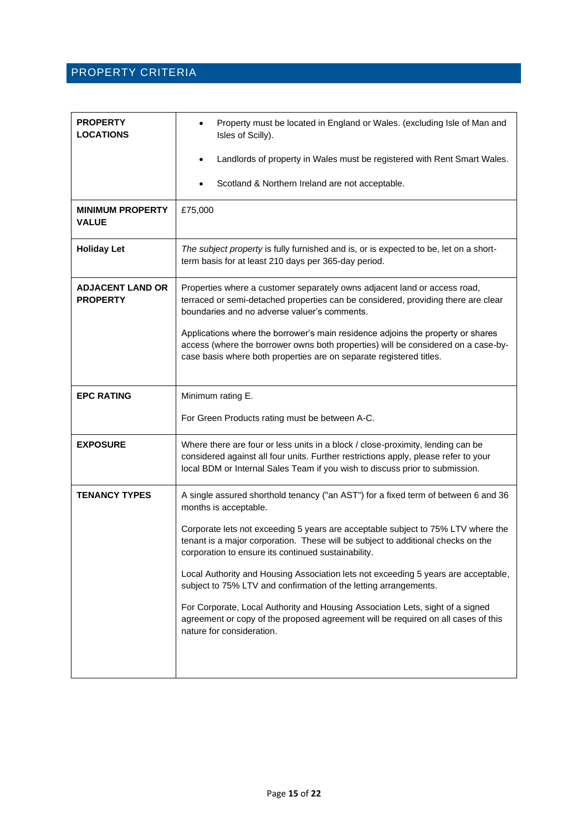#### <span id="page-14-0"></span>PROPERTY CRITERIA

| <b>PROPERTY</b><br><b>LOCATIONS</b>        | Property must be located in England or Wales. (excluding Isle of Man and<br>Isles of Scilly).                                                                                                                                                          |  |
|--------------------------------------------|--------------------------------------------------------------------------------------------------------------------------------------------------------------------------------------------------------------------------------------------------------|--|
|                                            | Landlords of property in Wales must be registered with Rent Smart Wales.                                                                                                                                                                               |  |
|                                            | Scotland & Northern Ireland are not acceptable.                                                                                                                                                                                                        |  |
| <b>MINIMUM PROPERTY</b><br><b>VALUE</b>    | £75,000                                                                                                                                                                                                                                                |  |
| <b>Holiday Let</b>                         | The subject property is fully furnished and is, or is expected to be, let on a short-<br>term basis for at least 210 days per 365-day period.                                                                                                          |  |
| <b>ADJACENT LAND OR</b><br><b>PROPERTY</b> | Properties where a customer separately owns adjacent land or access road,<br>terraced or semi-detached properties can be considered, providing there are clear<br>boundaries and no adverse valuer's comments.                                         |  |
|                                            | Applications where the borrower's main residence adjoins the property or shares<br>access (where the borrower owns both properties) will be considered on a case-by-<br>case basis where both properties are on separate registered titles.            |  |
| <b>EPC RATING</b>                          | Minimum rating E.                                                                                                                                                                                                                                      |  |
|                                            | For Green Products rating must be between A-C.                                                                                                                                                                                                         |  |
| <b>EXPOSURE</b>                            | Where there are four or less units in a block / close-proximity, lending can be<br>considered against all four units. Further restrictions apply, please refer to your<br>local BDM or Internal Sales Team if you wish to discuss prior to submission. |  |
| <b>TENANCY TYPES</b>                       | A single assured shorthold tenancy ("an AST") for a fixed term of between 6 and 36<br>months is acceptable.                                                                                                                                            |  |
|                                            | Corporate lets not exceeding 5 years are acceptable subject to 75% LTV where the<br>tenant is a major corporation. These will be subject to additional checks on the<br>corporation to ensure its continued sustainability.                            |  |
|                                            | Local Authority and Housing Association lets not exceeding 5 years are acceptable,<br>subject to 75% LTV and confirmation of the letting arrangements.                                                                                                 |  |
|                                            | For Corporate, Local Authority and Housing Association Lets, sight of a signed<br>agreement or copy of the proposed agreement will be required on all cases of this<br>nature for consideration.                                                       |  |
|                                            |                                                                                                                                                                                                                                                        |  |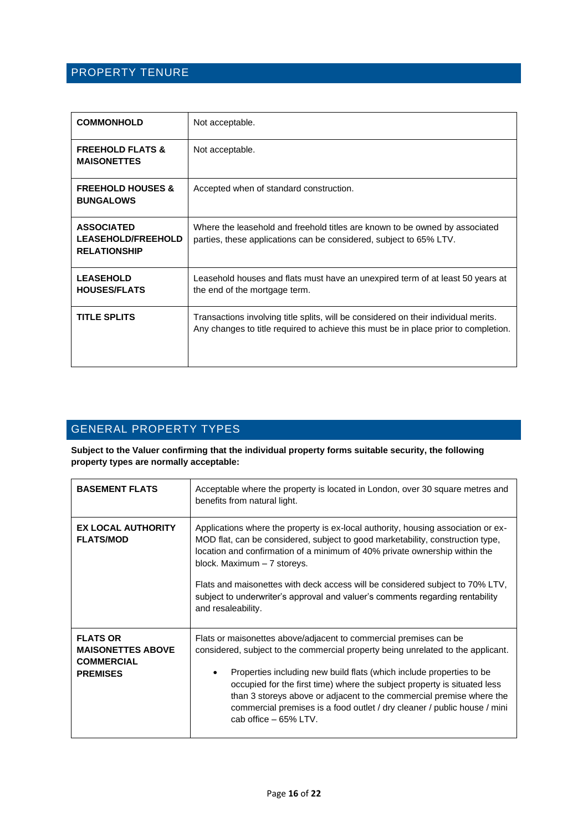#### <span id="page-15-0"></span>PROPERTY TENURE

| <b>COMMONHOLD</b>                                                     | Not acceptable.                                                                                                                                                            |
|-----------------------------------------------------------------------|----------------------------------------------------------------------------------------------------------------------------------------------------------------------------|
| <b>FREEHOLD FLATS &amp;</b><br><b>MAISONETTES</b>                     | Not acceptable.                                                                                                                                                            |
| <b>FREEHOLD HOUSES &amp;</b><br><b>BUNGALOWS</b>                      | Accepted when of standard construction.                                                                                                                                    |
| <b>ASSOCIATED</b><br><b>LEASEHOLD/FREEHOLD</b><br><b>RELATIONSHIP</b> | Where the leasehold and freehold titles are known to be owned by associated<br>parties, these applications can be considered, subject to 65% LTV.                          |
| <b>LEASEHOLD</b><br><b>HOUSES/FLATS</b>                               | Leasehold houses and flats must have an unexpired term of at least 50 years at<br>the end of the mortgage term.                                                            |
| <b>TITLE SPLITS</b>                                                   | Transactions involving title splits, will be considered on their individual merits.<br>Any changes to title required to achieve this must be in place prior to completion. |

## <span id="page-15-1"></span>GENERAL PROPERTY TYPES

**Subject to the Valuer confirming that the individual property forms suitable security, the following property types are normally acceptable:**

| <b>BASEMENT FLATS</b>                                                               | Acceptable where the property is located in London, over 30 square metres and<br>benefits from natural light.                                                                                                                                                                                                                                                                                                                                                                            |  |
|-------------------------------------------------------------------------------------|------------------------------------------------------------------------------------------------------------------------------------------------------------------------------------------------------------------------------------------------------------------------------------------------------------------------------------------------------------------------------------------------------------------------------------------------------------------------------------------|--|
| <b>EX LOCAL AUTHORITY</b><br><b>FLATS/MOD</b>                                       | Applications where the property is ex-local authority, housing association or ex-<br>MOD flat, can be considered, subject to good marketability, construction type,<br>location and confirmation of a minimum of 40% private ownership within the<br>block. Maximum - 7 storeys.<br>Flats and maisonettes with deck access will be considered subject to 70% LTV,<br>subject to underwriter's approval and valuer's comments regarding rentability<br>and resaleability.                 |  |
| <b>FLATS OR</b><br><b>MAISONETTES ABOVE</b><br><b>COMMERCIAL</b><br><b>PREMISES</b> | Flats or maisonettes above/adjacent to commercial premises can be<br>considered, subject to the commercial property being unrelated to the applicant.<br>Properties including new build flats (which include properties to be<br>occupied for the first time) where the subject property is situated less<br>than 3 storeys above or adjacent to the commercial premise where the<br>commercial premises is a food outlet / dry cleaner / public house / mini<br>cab office $-65\%$ LTV. |  |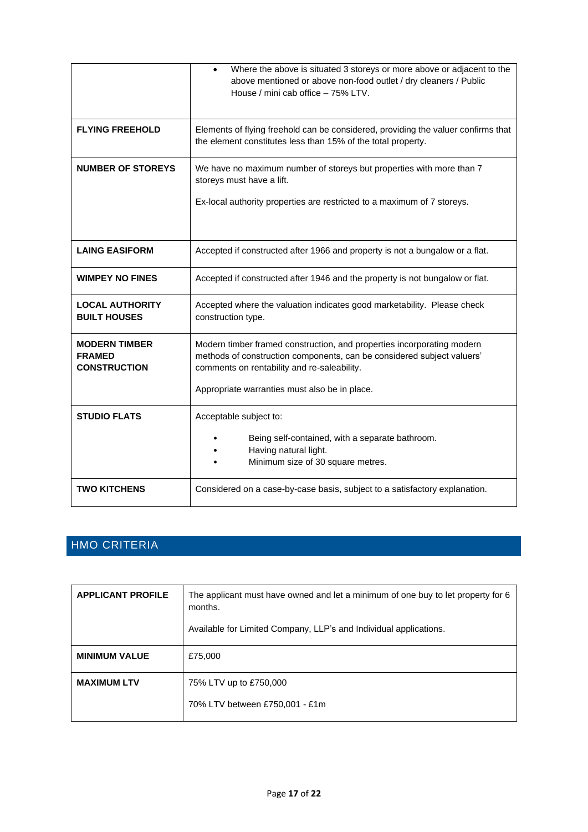|                                                              | Where the above is situated 3 storeys or more above or adjacent to the<br>$\bullet$<br>above mentioned or above non-food outlet / dry cleaners / Public<br>House / mini cab office - 75% LTV.                                                    |  |
|--------------------------------------------------------------|--------------------------------------------------------------------------------------------------------------------------------------------------------------------------------------------------------------------------------------------------|--|
| <b>FLYING FREEHOLD</b>                                       | Elements of flying freehold can be considered, providing the valuer confirms that<br>the element constitutes less than 15% of the total property.                                                                                                |  |
| <b>NUMBER OF STOREYS</b>                                     | We have no maximum number of storeys but properties with more than 7<br>storeys must have a lift.                                                                                                                                                |  |
|                                                              | Ex-local authority properties are restricted to a maximum of 7 storeys.                                                                                                                                                                          |  |
| <b>LAING EASIFORM</b>                                        | Accepted if constructed after 1966 and property is not a bungalow or a flat.                                                                                                                                                                     |  |
| <b>WIMPEY NO FINES</b>                                       | Accepted if constructed after 1946 and the property is not bungalow or flat.                                                                                                                                                                     |  |
| <b>LOCAL AUTHORITY</b><br><b>BUILT HOUSES</b>                | Accepted where the valuation indicates good marketability. Please check<br>construction type.                                                                                                                                                    |  |
| <b>MODERN TIMBER</b><br><b>FRAMED</b><br><b>CONSTRUCTION</b> | Modern timber framed construction, and properties incorporating modern<br>methods of construction components, can be considered subject valuers'<br>comments on rentability and re-saleability.<br>Appropriate warranties must also be in place. |  |
| <b>STUDIO FLATS</b>                                          | Acceptable subject to:                                                                                                                                                                                                                           |  |
|                                                              | Being self-contained, with a separate bathroom.<br>Having natural light.<br>Minimum size of 30 square metres.                                                                                                                                    |  |
| <b>TWO KITCHENS</b>                                          | Considered on a case-by-case basis, subject to a satisfactory explanation.                                                                                                                                                                       |  |

## <span id="page-16-0"></span>HMO CRITERIA

| <b>APPLICANT PROFILE</b> | The applicant must have owned and let a minimum of one buy to let property for 6<br>months.<br>Available for Limited Company, LLP's and Individual applications. |
|--------------------------|------------------------------------------------------------------------------------------------------------------------------------------------------------------|
| <b>MINIMUM VALUE</b>     | £75,000                                                                                                                                                          |
| <b>MAXIMUM LTV</b>       | 75% LTV up to £750,000<br>70% LTV between £750,001 - £1m                                                                                                         |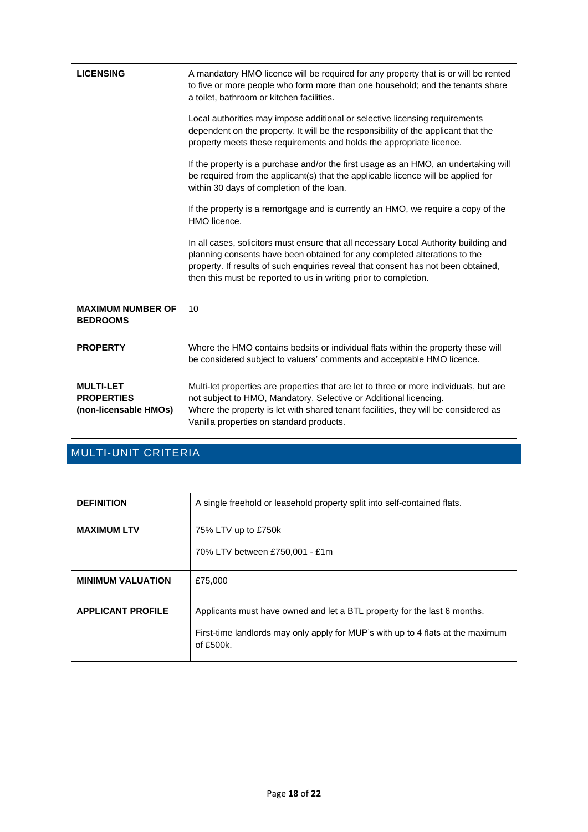| <b>LICENSING</b>                                               | A mandatory HMO licence will be required for any property that is or will be rented<br>to five or more people who form more than one household; and the tenants share<br>a toilet, bathroom or kitchen facilities.                                                                                                         |
|----------------------------------------------------------------|----------------------------------------------------------------------------------------------------------------------------------------------------------------------------------------------------------------------------------------------------------------------------------------------------------------------------|
|                                                                | Local authorities may impose additional or selective licensing requirements<br>dependent on the property. It will be the responsibility of the applicant that the<br>property meets these requirements and holds the appropriate licence.                                                                                  |
|                                                                | If the property is a purchase and/or the first usage as an HMO, an undertaking will<br>be required from the applicant(s) that the applicable licence will be applied for<br>within 30 days of completion of the loan.                                                                                                      |
|                                                                | If the property is a remortgage and is currently an HMO, we require a copy of the<br>HMO licence.                                                                                                                                                                                                                          |
|                                                                | In all cases, solicitors must ensure that all necessary Local Authority building and<br>planning consents have been obtained for any completed alterations to the<br>property. If results of such enquiries reveal that consent has not been obtained,<br>then this must be reported to us in writing prior to completion. |
| <b>MAXIMUM NUMBER OF</b><br><b>BEDROOMS</b>                    | 10                                                                                                                                                                                                                                                                                                                         |
| <b>PROPERTY</b>                                                | Where the HMO contains bedsits or individual flats within the property these will<br>be considered subject to valuers' comments and acceptable HMO licence.                                                                                                                                                                |
| <b>MULTI-LET</b><br><b>PROPERTIES</b><br>(non-licensable HMOs) | Multi-let properties are properties that are let to three or more individuals, but are<br>not subject to HMO, Mandatory, Selective or Additional licencing.<br>Where the property is let with shared tenant facilities, they will be considered as<br>Vanilla properties on standard products.                             |

## <span id="page-17-0"></span>MULTI-UNIT CRITERIA

| <b>DEFINITION</b>        | A single freehold or leasehold property split into self-contained flats.                     |  |  |
|--------------------------|----------------------------------------------------------------------------------------------|--|--|
| <b>MAXIMUM LTV</b>       | 75% LTV up to £750k                                                                          |  |  |
|                          | 70% LTV between £750,001 - £1m                                                               |  |  |
| <b>MINIMUM VALUATION</b> | £75,000                                                                                      |  |  |
| <b>APPLICANT PROFILE</b> | Applicants must have owned and let a BTL property for the last 6 months.                     |  |  |
|                          | First-time landlords may only apply for MUP's with up to 4 flats at the maximum<br>of £500k. |  |  |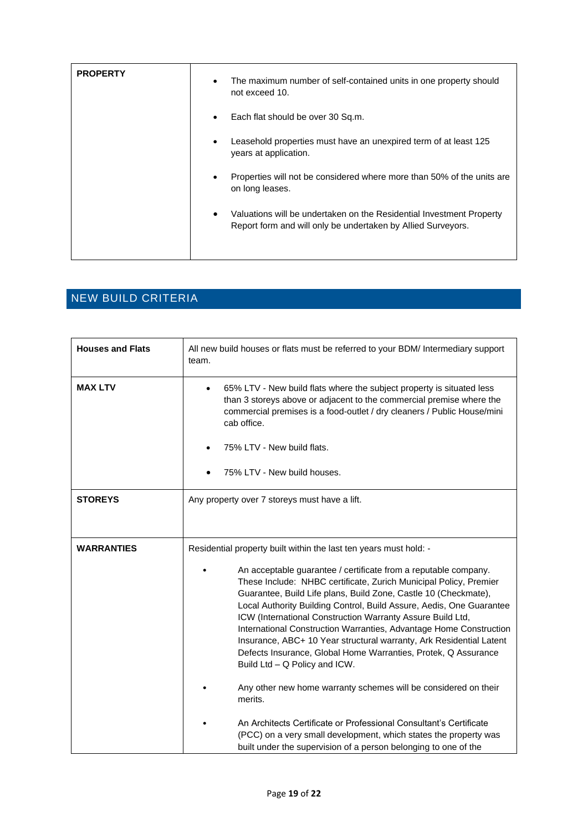| <b>PROPERTY</b> | The maximum number of self-contained units in one property should<br>٠<br>not exceed 10.                                             |
|-----------------|--------------------------------------------------------------------------------------------------------------------------------------|
|                 | Each flat should be over 30 Sq.m.<br>$\bullet$                                                                                       |
|                 | Leasehold properties must have an unexpired term of at least 125<br>years at application.                                            |
|                 | Properties will not be considered where more than 50% of the units are<br>on long leases.                                            |
|                 | Valuations will be undertaken on the Residential Investment Property<br>Report form and will only be undertaken by Allied Surveyors. |

## <span id="page-18-0"></span>NEW BUILD CRITERIA

| <b>Houses and Flats</b> | All new build houses or flats must be referred to your BDM/ Intermediary support<br>team.                                                                                                                                                                                                                                                                                                                                                                                                                                                                                                     |  |
|-------------------------|-----------------------------------------------------------------------------------------------------------------------------------------------------------------------------------------------------------------------------------------------------------------------------------------------------------------------------------------------------------------------------------------------------------------------------------------------------------------------------------------------------------------------------------------------------------------------------------------------|--|
| <b>MAX LTV</b>          | 65% LTV - New build flats where the subject property is situated less<br>than 3 storeys above or adjacent to the commercial premise where the<br>commercial premises is a food-outlet / dry cleaners / Public House/mini<br>cab office.<br>75% LTV - New build flats.<br>75% LTV - New build houses.                                                                                                                                                                                                                                                                                          |  |
| <b>STOREYS</b>          | Any property over 7 storeys must have a lift.                                                                                                                                                                                                                                                                                                                                                                                                                                                                                                                                                 |  |
| <b>WARRANTIES</b>       | Residential property built within the last ten years must hold: -                                                                                                                                                                                                                                                                                                                                                                                                                                                                                                                             |  |
|                         | An acceptable guarantee / certificate from a reputable company.<br>These Include: NHBC certificate, Zurich Municipal Policy, Premier<br>Guarantee, Build Life plans, Build Zone, Castle 10 (Checkmate),<br>Local Authority Building Control, Build Assure, Aedis, One Guarantee<br>ICW (International Construction Warranty Assure Build Ltd,<br>International Construction Warranties, Advantage Home Construction<br>Insurance, ABC+ 10 Year structural warranty, Ark Residential Latent<br>Defects Insurance, Global Home Warranties, Protek, Q Assurance<br>Build Ltd - Q Policy and ICW. |  |
|                         | Any other new home warranty schemes will be considered on their<br>merits.                                                                                                                                                                                                                                                                                                                                                                                                                                                                                                                    |  |
|                         | An Architects Certificate or Professional Consultant's Certificate<br>(PCC) on a very small development, which states the property was<br>built under the supervision of a person belonging to one of the                                                                                                                                                                                                                                                                                                                                                                                     |  |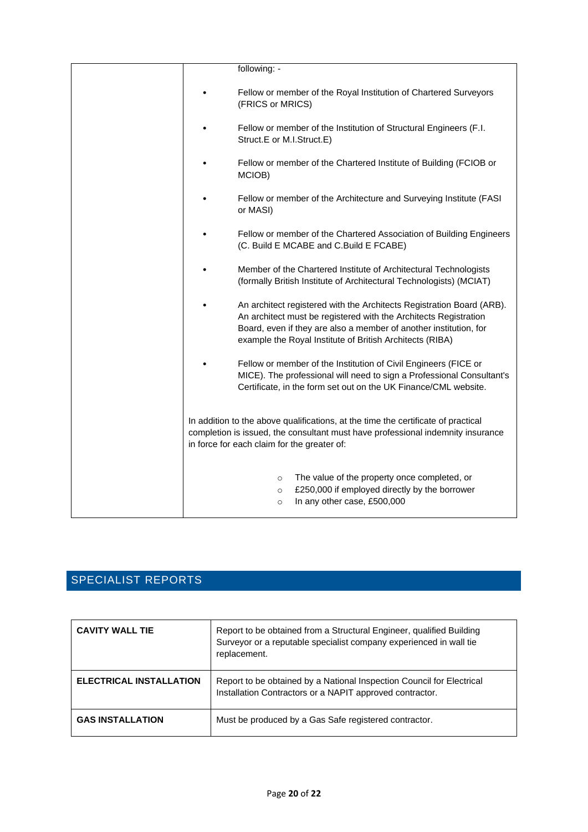|  | following: -                                                                                                                                                                                                                                                               |
|--|----------------------------------------------------------------------------------------------------------------------------------------------------------------------------------------------------------------------------------------------------------------------------|
|  | Fellow or member of the Royal Institution of Chartered Surveyors<br>(FRICS or MRICS)                                                                                                                                                                                       |
|  | Fellow or member of the Institution of Structural Engineers (F.I.<br>Struct.E or M.I.Struct.E)                                                                                                                                                                             |
|  | Fellow or member of the Chartered Institute of Building (FCIOB or<br>MCIOB)                                                                                                                                                                                                |
|  | Fellow or member of the Architecture and Surveying Institute (FASI<br>or MASI)                                                                                                                                                                                             |
|  | Fellow or member of the Chartered Association of Building Engineers<br>(C. Build E MCABE and C.Build E FCABE)                                                                                                                                                              |
|  | Member of the Chartered Institute of Architectural Technologists<br>(formally British Institute of Architectural Technologists) (MCIAT)                                                                                                                                    |
|  | An architect registered with the Architects Registration Board (ARB).<br>An architect must be registered with the Architects Registration<br>Board, even if they are also a member of another institution, for<br>example the Royal Institute of British Architects (RIBA) |
|  | Fellow or member of the Institution of Civil Engineers (FICE or<br>MICE). The professional will need to sign a Professional Consultant's<br>Certificate, in the form set out on the UK Finance/CML website.                                                                |
|  | In addition to the above qualifications, at the time the certificate of practical<br>completion is issued, the consultant must have professional indemnity insurance<br>in force for each claim for the greater of:                                                        |
|  | The value of the property once completed, or<br>$\circ$<br>£250,000 if employed directly by the borrower<br>$\circ$<br>In any other case, £500,000<br>$\circ$                                                                                                              |

## <span id="page-19-0"></span>SPECIALIST REPORTS

| <b>CAVITY WALL TIE</b>         | Report to be obtained from a Structural Engineer, qualified Building<br>Surveyor or a reputable specialist company experienced in wall tie<br>replacement. |
|--------------------------------|------------------------------------------------------------------------------------------------------------------------------------------------------------|
| <b>ELECTRICAL INSTALLATION</b> | Report to be obtained by a National Inspection Council for Electrical<br>Installation Contractors or a NAPIT approved contractor.                          |
| <b>GAS INSTALLATION</b>        | Must be produced by a Gas Safe registered contractor.                                                                                                      |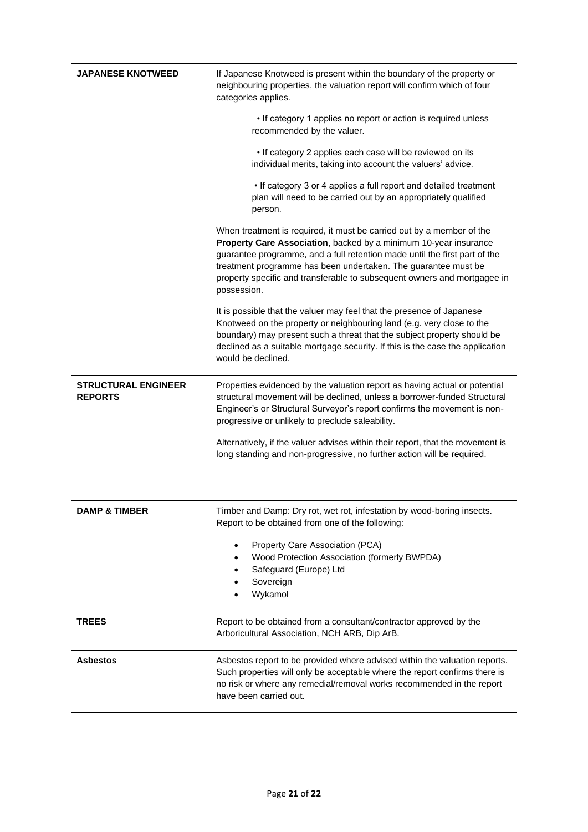| <b>JAPANESE KNOTWEED</b>                     | If Japanese Knotweed is present within the boundary of the property or<br>neighbouring properties, the valuation report will confirm which of four<br>categories applies.                                                                                                                                                                                                            |
|----------------------------------------------|--------------------------------------------------------------------------------------------------------------------------------------------------------------------------------------------------------------------------------------------------------------------------------------------------------------------------------------------------------------------------------------|
|                                              | • If category 1 applies no report or action is required unless<br>recommended by the valuer.                                                                                                                                                                                                                                                                                         |
|                                              | . If category 2 applies each case will be reviewed on its<br>individual merits, taking into account the valuers' advice.                                                                                                                                                                                                                                                             |
|                                              | • If category 3 or 4 applies a full report and detailed treatment<br>plan will need to be carried out by an appropriately qualified<br>person.                                                                                                                                                                                                                                       |
|                                              | When treatment is required, it must be carried out by a member of the<br>Property Care Association, backed by a minimum 10-year insurance<br>guarantee programme, and a full retention made until the first part of the<br>treatment programme has been undertaken. The guarantee must be<br>property specific and transferable to subsequent owners and mortgagee in<br>possession. |
|                                              | It is possible that the valuer may feel that the presence of Japanese<br>Knotweed on the property or neighbouring land (e.g. very close to the<br>boundary) may present such a threat that the subject property should be<br>declined as a suitable mortgage security. If this is the case the application<br>would be declined.                                                     |
| <b>STRUCTURAL ENGINEER</b><br><b>REPORTS</b> | Properties evidenced by the valuation report as having actual or potential<br>structural movement will be declined, unless a borrower-funded Structural<br>Engineer's or Structural Surveyor's report confirms the movement is non-<br>progressive or unlikely to preclude saleability.                                                                                              |
|                                              | Alternatively, if the valuer advises within their report, that the movement is<br>long standing and non-progressive, no further action will be required.                                                                                                                                                                                                                             |
| <b>DAMP &amp; TIMBER</b>                     | Timber and Damp: Dry rot, wet rot, infestation by wood-boring insects.                                                                                                                                                                                                                                                                                                               |
|                                              | Report to be obtained from one of the following:                                                                                                                                                                                                                                                                                                                                     |
|                                              | Property Care Association (PCA)<br>Wood Protection Association (formerly BWPDA)<br>Safeguard (Europe) Ltd<br>Sovereign<br>Wykamol                                                                                                                                                                                                                                                    |
| <b>TREES</b>                                 | Report to be obtained from a consultant/contractor approved by the<br>Arboricultural Association, NCH ARB, Dip ArB.                                                                                                                                                                                                                                                                  |
| <b>Asbestos</b>                              | Asbestos report to be provided where advised within the valuation reports.<br>Such properties will only be acceptable where the report confirms there is<br>no risk or where any remedial/removal works recommended in the report<br>have been carried out.                                                                                                                          |